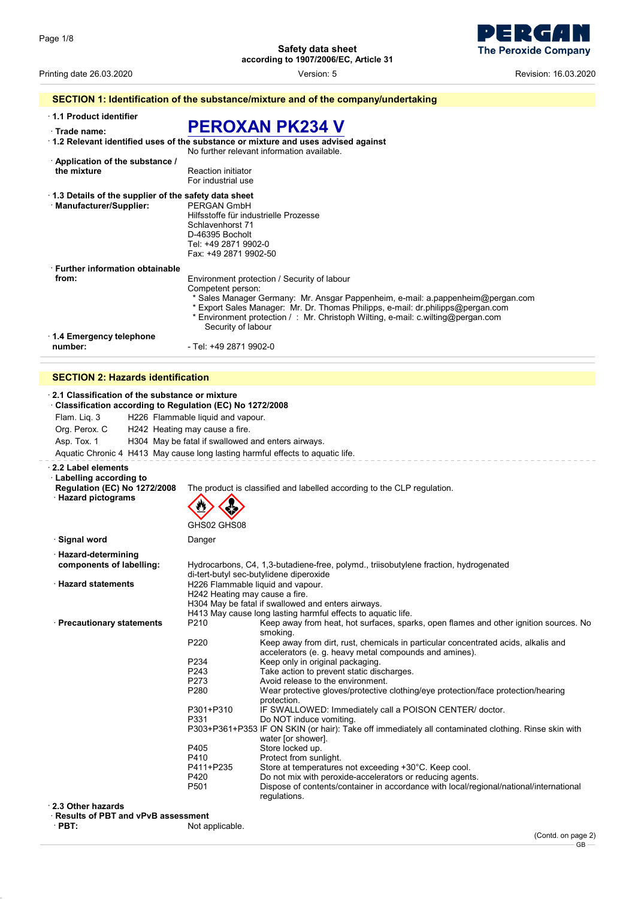

| Printing date 26.03.2020                                                          | Version: 5                                                                                                                                                                                                                                                                                        | Revision: 16.03.2020 |  |  |
|-----------------------------------------------------------------------------------|---------------------------------------------------------------------------------------------------------------------------------------------------------------------------------------------------------------------------------------------------------------------------------------------------|----------------------|--|--|
| SECTION 1: Identification of the substance/mixture and of the company/undertaking |                                                                                                                                                                                                                                                                                                   |                      |  |  |
| 1.1 Product identifier                                                            |                                                                                                                                                                                                                                                                                                   |                      |  |  |
| Trade name:                                                                       | <b>PEROXAN PK234 V</b>                                                                                                                                                                                                                                                                            |                      |  |  |
|                                                                                   | 1.2 Relevant identified uses of the substance or mixture and uses advised against<br>No further relevant information available                                                                                                                                                                    |                      |  |  |
| Application of the substance /                                                    |                                                                                                                                                                                                                                                                                                   |                      |  |  |
| the mixture                                                                       | <b>Reaction initiator</b><br>For industrial use                                                                                                                                                                                                                                                   |                      |  |  |
| 1.3 Details of the supplier of the safety data sheet                              |                                                                                                                                                                                                                                                                                                   |                      |  |  |
| · Manufacturer/Supplier:                                                          | <b>PERGAN GmbH</b><br>Hilfsstoffe für industrielle Prozesse<br>Schlavenhorst 71<br>D-46395 Bocholt<br>Tel: +49 2871 9902-0<br>Fax: +49 2871 9902-50                                                                                                                                               |                      |  |  |
| <b>Eurther information obtainable</b>                                             |                                                                                                                                                                                                                                                                                                   |                      |  |  |
| from:                                                                             | Environment protection / Security of labour                                                                                                                                                                                                                                                       |                      |  |  |
|                                                                                   | Competent person:<br>* Sales Manager Germany: Mr. Ansgar Pappenheim, e-mail: a.pappenheim@pergan.com<br>* Export Sales Manager: Mr. Dr. Thomas Philipps, e-mail: dr.philipps@pergan.com<br>* Environment protection / : Mr. Christoph Wilting, e-mail: c.wilting@pergan.com<br>Security of labour |                      |  |  |
| ⋅ 1.4 Emergency telephone                                                         |                                                                                                                                                                                                                                                                                                   |                      |  |  |
| number:                                                                           | - Tel: +49 2871 9902-0                                                                                                                                                                                                                                                                            |                      |  |  |
| <b>SECTION 2: Hazards identification</b>                                          |                                                                                                                                                                                                                                                                                                   |                      |  |  |

### · **2.1 Classification of the substance or mixture** · **Classification according to Regulation (EC) No 1272/2008** Flam. Liq. 3 H226 Flammable liquid and vapour. Org. Perox. C H242 Heating may cause a fire. Asp. Tox. 1 H304 May be fatal if swallowed and enters airways. Aquatic Chronic 4 H413 May cause long lasting harmful effects to aquatic life. · **2.2 Label elements** · **Labelling according to** The product is classified and labelled according to the CLP regulation. · **Hazard pictograms** GHS02 GHS08  $\Leftrightarrow$ **· Signal word** Danger · **Hazard-determining components of labelling:** Hydrocarbons, C4, 1,3-butadiene-free, polymd., triisobutylene fraction, hydrogenated di-tert-butyl sec-butylidene diperoxide · **Hazard statements** H226 Flammable liquid and vapour. H242 Heating may cause a fire. H304 May be fatal if swallowed and enters airways. H413 May cause long lasting harmful effects to aquatic life.<br>P210 Keep away from heat, hot surfaces, spair · **Precautionary statements** P210 Keep away from heat, hot surfaces, sparks, open flames and other ignition sources. No smoking. P220 Keep away from dirt, rust, chemicals in particular concentrated acids, alkalis and accelerators (e. g. heavy metal compounds and amines). P234 Keep only in original packaging.<br>P243 Take action to prevent static dis P243 Take action to prevent static discharges.<br>P273 Avoid release to the environment. P273 Avoid release to the environment.<br>P280 Wear protective gloves/protective Wear protective gloves/protective clothing/eye protection/face protection/hearing protection. P301+P310 IF SWALLOWED: Immediately call a POISON CENTER/ doctor.<br>P331 Do NOT induce vomiting. Do NOT induce vomiting. P303+P361+P353 IF ON SKIN (or hair): Take off immediately all contaminated clothing. Rinse skin with water [or shower]. P405 Store locked up.<br>P410 Protect from sur P410 Protect from sunlight.<br>P411+P235 Store at temperatures P411+P235 Store at temperatures not exceeding +30°C. Keep cool.<br>P420 Do not mix with peroxide-accelerators or reducing agen P420 Do not mix with peroxide-accelerators or reducing agents.<br>P501 Dispose of contents/container in accordance with local/req Dispose of contents/container in accordance with local/regional/national/international regulations. · **2.3 Other hazards** · **Results of PBT and vPvB assessment** · **PBT:** Not applicable.

(Contd. on page 2) GB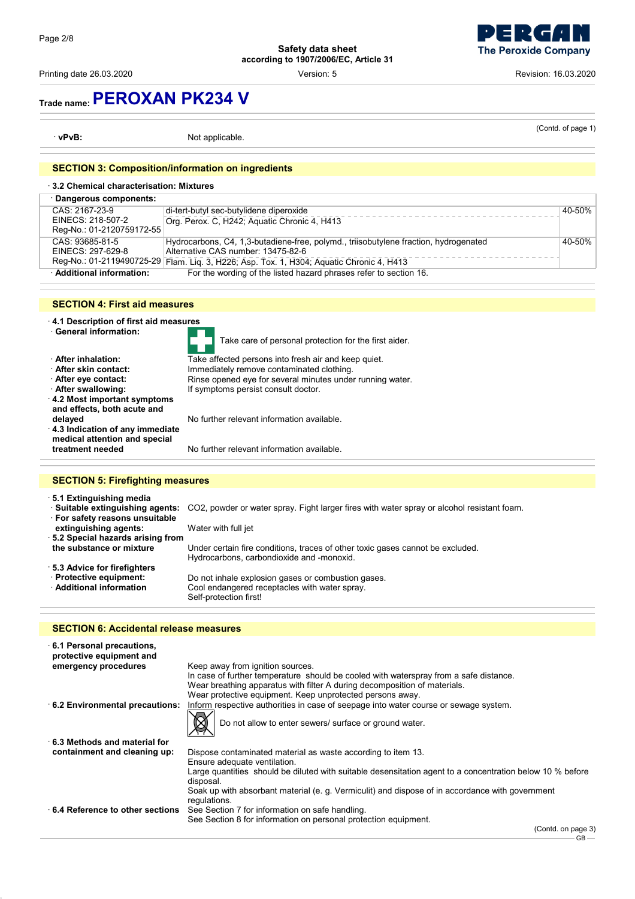Printing date 26.03.2020 **Printing date 26.03.2020 Revision: 16.03.2020 Version: 5 Revision: 16.03.2020** 



# **Trade name:PEROXAN PK234 V**

· **vPvB:** Not applicable.

(Contd. of page 1)

### **SECTION 3: Composition/information on ingredients**

| 3.2 Chemical characterisation: Mixtures |                                                                                          |        |
|-----------------------------------------|------------------------------------------------------------------------------------------|--------|
| · Dangerous components:                 |                                                                                          |        |
| CAS: 2167-23-9                          | di-tert-butyl sec-butylidene diperoxide                                                  | 40-50% |
| EINECS: 218-507-2                       | Org. Perox. C, H242; Aguatic Chronic 4, H413                                             |        |
| Reg-No.: 01-2120759172-55               |                                                                                          |        |
| CAS: 93685-81-5                         | Hydrocarbons, C4, 1,3-butadiene-free, polymd., triisobutylene fraction, hydrogenated     | 40-50% |
| EINECS: 297-629-8                       | Alternative CAS number: 13475-82-6                                                       |        |
|                                         | Reg-No.: 01-2119490725-29 Flam. Liq. 3, H226; Asp. Tox. 1, H304; Aquatic Chronic 4, H413 |        |
| · Additional information:               | For the wording of the listed hazard phrases refer to section 16.                        |        |

### **SECTION 4: First aid measures**

· **4.1 Description of first aid measures**

- 
- 
- 
- 
- 
- · **4.2 Most important symptoms**
- **and effects, both acute and**
- · **4.3 Indication of any immediate medical attention and special**

Take care of personal protection for the first aider. **After inhalation:** Take affected persons into fresh air and keep quiet.<br>**After skin contact:** Immediately remove contaminated clothing. · **After skin contact:** Immediately remove contaminated clothing. **· After eye contact:** Rinse opened eye for several minutes under running water.<br>**· After swallowing:** If symptoms persist consult doctor. If symptoms persist consult doctor.

**delayed No further relevant information available.** 

No further relevant information available.

## **SECTION 5: Firefighting measures**

· **5.1 Extinguishing media** · **Suitable extinguishing agents:** CO2, powder or water spray. Fight larger fires with water spray or alcohol resistant foam. · **For safety reasons unsuitable extinguishing agents:** Water with full jet · **5.2 Special hazards arising from** Under certain fire conditions, traces of other toxic gases cannot be excluded. Hydrocarbons, carbondioxide and -monoxid. · **5.3 Advice for firefighters Protective equipment:** Do not inhale explosion gases or combustion gases.<br>**Additional information** Cool endangered receptacles with water spray. Cool endangered receptacles with water spray. Self-protection first!

### **SECTION 6: Accidental release measures**

| 6.1 Personal precautions,<br>protective equipment and |                                                                                                                        |
|-------------------------------------------------------|------------------------------------------------------------------------------------------------------------------------|
| emergency procedures                                  | Keep away from ignition sources.                                                                                       |
|                                                       | In case of further temperature should be cooled with waterspray from a safe distance.                                  |
|                                                       | Wear breathing apparatus with filter A during decomposition of materials.                                              |
|                                                       | Wear protective equipment. Keep unprotected persons away.                                                              |
| 6.2 Environmental precautions:                        | Inform respective authorities in case of seepage into water course or sewage system.                                   |
|                                                       | Do not allow to enter sewers/ surface or ground water.                                                                 |
| $\cdot$ 6.3 Methods and material for                  |                                                                                                                        |
| containment and cleaning up:                          | Dispose contaminated material as waste according to item 13.                                                           |
|                                                       | Ensure adequate ventilation.                                                                                           |
|                                                       | Large quantities should be diluted with suitable desensitation agent to a concentration below 10 % before<br>disposal. |
|                                                       | Soak up with absorbant material (e. g. Vermiculit) and dispose of in accordance with government<br>regulations.        |
| ⋅6.4 Reference to other sections                      | See Section 7 for information on safe handling.                                                                        |
|                                                       | See Section 8 for information on personal protection equipment.                                                        |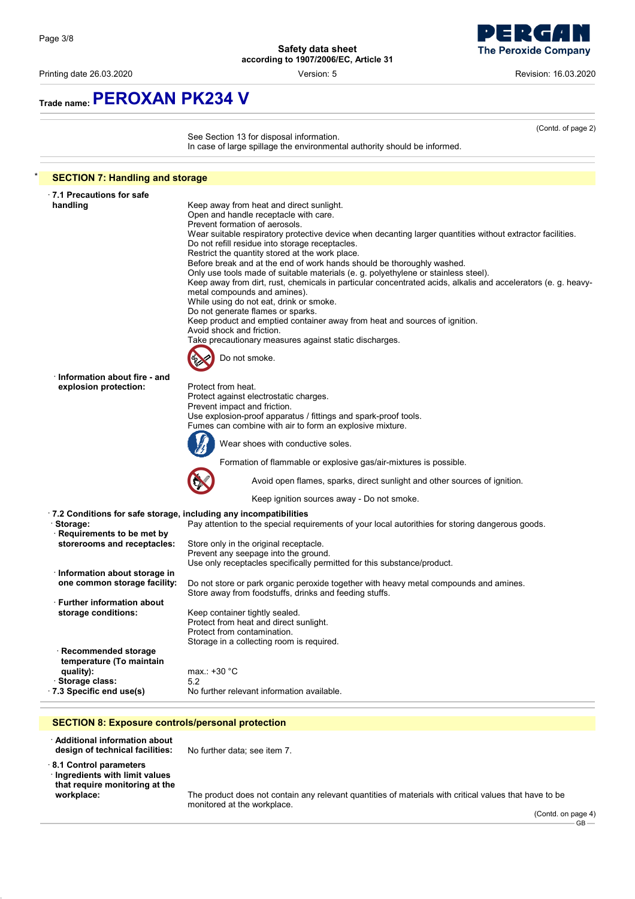

Printing date 26.03.2020 Version: 5 Revision: 16.03.2020

**Trade name:PEROXAN PK234 V**

|                                                   | See Section 13 for disposal information.<br>In case of large spillage the environmental authority should be informed.       |
|---------------------------------------------------|-----------------------------------------------------------------------------------------------------------------------------|
| <b>SECTION 7: Handling and storage</b>            |                                                                                                                             |
| $\cdot$ 7.1 Precautions for safe                  |                                                                                                                             |
| handling                                          | Keep away from heat and direct sunlight.                                                                                    |
|                                                   | Open and handle receptacle with care.                                                                                       |
|                                                   | Prevent formation of aerosols.                                                                                              |
|                                                   | Wear suitable respiratory protective device when decanting larger quantities without extractor facilities.                  |
|                                                   | Do not refill residue into storage receptacles.                                                                             |
|                                                   | Restrict the quantity stored at the work place.<br>Before break and at the end of work hands should be thoroughly washed.   |
|                                                   | Only use tools made of suitable materials (e. g. polyethylene or stainless steel).                                          |
|                                                   | Keep away from dirt, rust, chemicals in particular concentrated acids, alkalis and accelerators (e. g. heavy-               |
|                                                   | metal compounds and amines).                                                                                                |
|                                                   | While using do not eat, drink or smoke.                                                                                     |
|                                                   | Do not generate flames or sparks.                                                                                           |
|                                                   | Keep product and emptied container away from heat and sources of ignition.                                                  |
|                                                   | Avoid shock and friction.<br>Take precautionary measures against static discharges.                                         |
|                                                   |                                                                                                                             |
|                                                   | Do not smoke.                                                                                                               |
| Information about fire - and                      |                                                                                                                             |
| explosion protection:                             | Protect from heat.                                                                                                          |
|                                                   | Protect against electrostatic charges.                                                                                      |
|                                                   | Prevent impact and friction.                                                                                                |
|                                                   | Use explosion-proof apparatus / fittings and spark-proof tools.<br>Fumes can combine with air to form an explosive mixture. |
|                                                   |                                                                                                                             |
|                                                   | Wear shoes with conductive soles.                                                                                           |
|                                                   | Formation of flammable or explosive gas/air-mixtures is possible.                                                           |
|                                                   | Avoid open flames, sparks, direct sunlight and other sources of ignition.                                                   |
|                                                   | Keep ignition sources away - Do not smoke.                                                                                  |
|                                                   | .7.2 Conditions for safe storage, including any incompatibilities                                                           |
| · Storage:                                        | Pay attention to the special requirements of your local autorithies for storing dangerous goods.                            |
| Requirements to be met by                         |                                                                                                                             |
| storerooms and receptacles:                       | Store only in the original receptacle.<br>Prevent any seepage into the ground.                                              |
|                                                   | Use only receptacles specifically permitted for this substance/product.                                                     |
| · Information about storage in                    |                                                                                                                             |
| one common storage facility:                      | Do not store or park organic peroxide together with heavy metal compounds and amines.                                       |
|                                                   | Store away from foodstuffs, drinks and feeding stuffs.                                                                      |
| $\cdot$ Further information about.                |                                                                                                                             |
| storage conditions:                               | Keep container tightly sealed.                                                                                              |
|                                                   | Protect from heat and direct sunlight.                                                                                      |
|                                                   | Protect from contamination.                                                                                                 |
|                                                   | Storage in a collecting room is required.                                                                                   |
| · Recommended storage<br>temperature (To maintain |                                                                                                                             |
| quality):                                         | max.: +30 °C                                                                                                                |
| Storage class:                                    | 5.2                                                                                                                         |
| .7.3 Specific end use(s)                          | No further relevant information available.                                                                                  |
|                                                   |                                                                                                                             |

· **8.1 Control parameters** · **Ingredients with limit values that require monitoring at the**

**design of technical facilities:** No further data; see item 7.

**workplace:** The product does not contain any relevant quantities of materials with critical values that have to be monitored at the workplace.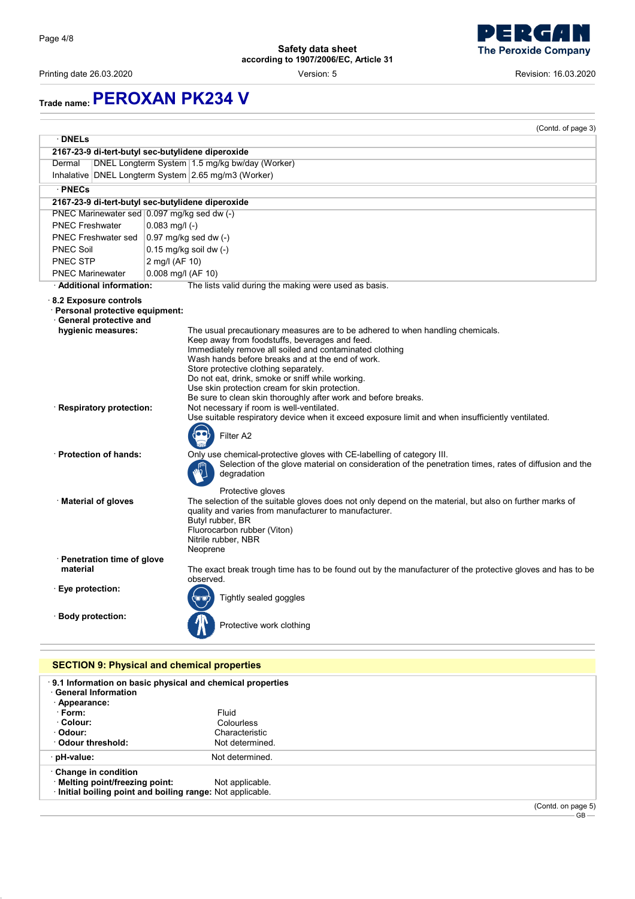Printing date 26.03.2020 Version: 5 Revision: 16.03.2020

n ) **The Peroxide Company** 

# **Trade name:PEROXAN PK234 V**

|                                                              | (Contd. of page 3)                                                                                                                                                              |
|--------------------------------------------------------------|---------------------------------------------------------------------------------------------------------------------------------------------------------------------------------|
| · DNELs                                                      |                                                                                                                                                                                 |
|                                                              | 2167-23-9 di-tert-butyl sec-butylidene diperoxide                                                                                                                               |
| Dermal                                                       | DNEL Longterm System 1.5 mg/kg bw/day (Worker)                                                                                                                                  |
|                                                              | Inhalative DNEL Longterm System 2.65 mg/m3 (Worker)                                                                                                                             |
| · PNECs                                                      |                                                                                                                                                                                 |
|                                                              | 2167-23-9 di-tert-butyl sec-butylidene diperoxide                                                                                                                               |
|                                                              | PNEC Marinewater sed 0.097 mg/kg sed dw (-)                                                                                                                                     |
| <b>PNEC Freshwater</b>                                       | $0.083$ mg/l (-)                                                                                                                                                                |
| <b>PNEC Freshwater sed</b>                                   | $0.97$ mg/kg sed dw $(-)$                                                                                                                                                       |
| <b>PNEC Soil</b>                                             | $0.15$ mg/kg soil dw $(-)$                                                                                                                                                      |
| <b>PNEC STP</b>                                              | 2 mg/l (AF 10)                                                                                                                                                                  |
| <b>PNEC Marinewater</b>                                      | $0.008$ mg/l (AF 10)                                                                                                                                                            |
| · Additional information:                                    | The lists valid during the making were used as basis.                                                                                                                           |
| 8.2 Exposure controls                                        |                                                                                                                                                                                 |
| · Personal protective equipment:<br>· General protective and |                                                                                                                                                                                 |
| hygienic measures:                                           | The usual precautionary measures are to be adhered to when handling chemicals.                                                                                                  |
|                                                              | Keep away from foodstuffs, beverages and feed.                                                                                                                                  |
|                                                              | Immediately remove all soiled and contaminated clothing                                                                                                                         |
|                                                              | Wash hands before breaks and at the end of work.                                                                                                                                |
|                                                              | Store protective clothing separately.<br>Do not eat, drink, smoke or sniff while working.                                                                                       |
|                                                              | Use skin protection cream for skin protection.                                                                                                                                  |
|                                                              | Be sure to clean skin thoroughly after work and before breaks.                                                                                                                  |
| · Respiratory protection:                                    | Not necessary if room is well-ventilated.                                                                                                                                       |
|                                                              | Use suitable respiratory device when it exceed exposure limit and when insufficiently ventilated.                                                                               |
|                                                              | Filter A2                                                                                                                                                                       |
|                                                              |                                                                                                                                                                                 |
| · Protection of hands:                                       | Only use chemical-protective gloves with CE-labelling of category III.<br>Selection of the glove material on consideration of the penetration times, rates of diffusion and the |
|                                                              | degradation                                                                                                                                                                     |
|                                                              | Protective gloves                                                                                                                                                               |
| · Material of gloves                                         | The selection of the suitable gloves does not only depend on the material, but also on further marks of                                                                         |
|                                                              | quality and varies from manufacturer to manufacturer.                                                                                                                           |
|                                                              | Butyl rubber, BR<br>Fluorocarbon rubber (Viton)                                                                                                                                 |
|                                                              | Nitrile rubber, NBR                                                                                                                                                             |
|                                                              | Neoprene                                                                                                                                                                        |
| · Penetration time of glove                                  |                                                                                                                                                                                 |
| material                                                     | The exact break trough time has to be found out by the manufacturer of the protective gloves and has to be<br>observed.                                                         |
| ∵ Eye protection:                                            |                                                                                                                                                                                 |
|                                                              | Tightly sealed goggles                                                                                                                                                          |
| · Body protection:                                           |                                                                                                                                                                                 |
|                                                              | Protective work clothing                                                                                                                                                        |
|                                                              |                                                                                                                                                                                 |
|                                                              |                                                                                                                                                                                 |
|                                                              | <b>SECTION 9: Physical and chemical properties</b>                                                                                                                              |

| .9.1 Information on basic physical and chemical properties<br><b>General Information</b><br>· Appearance: |                 |  |        |  |
|-----------------------------------------------------------------------------------------------------------|-----------------|--|--------|--|
| · Form:                                                                                                   | Fluid           |  |        |  |
| ∴Colour:                                                                                                  | Colourless      |  |        |  |
| · Odour:                                                                                                  | Characteristic  |  |        |  |
| Odour threshold:                                                                                          | Not determined. |  |        |  |
| · pH-value:                                                                                               | Not determined. |  |        |  |
| Change in condition                                                                                       |                 |  |        |  |
| · Melting point/freezing point:                                                                           | Not applicable. |  |        |  |
| Initial boiling point and boiling range: Not applicable.                                                  |                 |  |        |  |
|                                                                                                           |                 |  | $\sim$ |  |

(Contd. on page 5) GB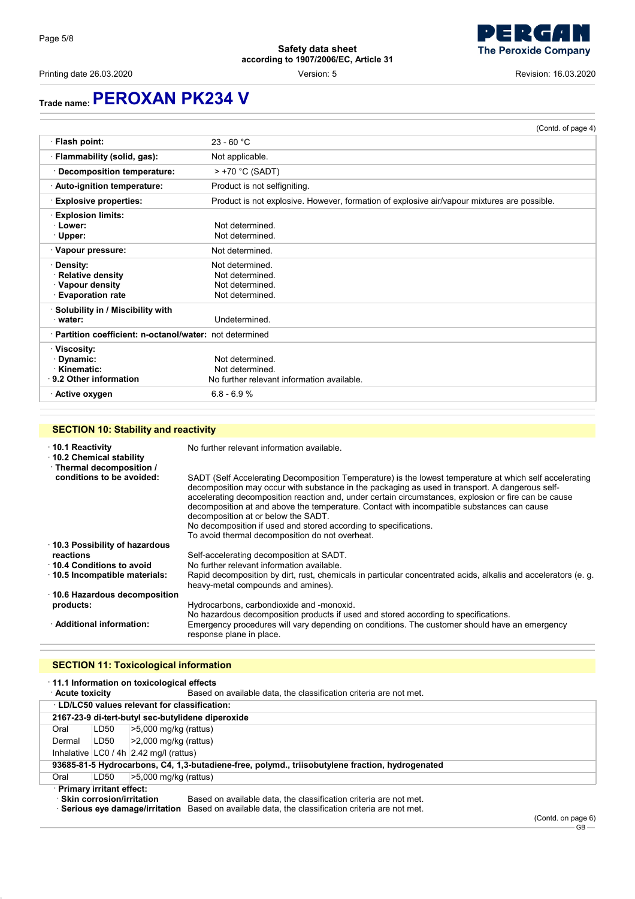



Printing date 26.03.2020 **Printing date 26.03.2020 Revision: 16.03.2020 Version: 5 Revision: 16.03.2020** 

# **Trade name:PEROXAN PK234 V**

|                                                          | (Contd. of page 4)                                                                          |
|----------------------------------------------------------|---------------------------------------------------------------------------------------------|
| · Flash point:                                           | $23 - 60 °C$                                                                                |
| · Flammability (solid, gas):                             | Not applicable.                                                                             |
| · Decomposition temperature:                             | $>$ +70 °C (SADT)                                                                           |
| · Auto-ignition temperature:                             | Product is not selfigniting.                                                                |
| <b>Explosive properties:</b>                             | Product is not explosive. However, formation of explosive air/vapour mixtures are possible. |
| <b>Explosion limits:</b>                                 |                                                                                             |
| · Lower:                                                 | Not determined                                                                              |
| · Upper:                                                 | Not determined                                                                              |
| · Vapour pressure:                                       | Not determined.                                                                             |
| ∴Density:                                                | Not determined.                                                                             |
| Relative density                                         | Not determined.                                                                             |
| · Vapour density                                         | Not determined.                                                                             |
| <b>Evaporation rate</b>                                  | Not determined.                                                                             |
| · Solubility in / Miscibility with                       |                                                                                             |
| water:                                                   | Undetermined.                                                                               |
| · Partition coefficient: n-octanol/water: not determined |                                                                                             |
| · Viscosity:                                             |                                                                                             |
| ∙ Dynamic:                                               | Not determined.                                                                             |
| · Kinematic:                                             | Not determined.                                                                             |
| 9.2 Other information                                    | No further relevant information available.                                                  |
| ∙ Active oxygen                                          | $6.8 - 6.9 %$                                                                               |

## **SECTION 10: Stability and reactivity**

| $\cdot$ 10.1 Reactivity<br>10.2 Chemical stability<br>· Thermal decomposition / | No further relevant information available.                                                                                                                                                                                                                                                                                                                                                                                                                                                                                                                                     |
|---------------------------------------------------------------------------------|--------------------------------------------------------------------------------------------------------------------------------------------------------------------------------------------------------------------------------------------------------------------------------------------------------------------------------------------------------------------------------------------------------------------------------------------------------------------------------------------------------------------------------------------------------------------------------|
| conditions to be avoided:                                                       | SADT (Self Accelerating Decomposition Temperature) is the lowest temperature at which self accelerating<br>decomposition may occur with substance in the packaging as used in transport. A dangerous self-<br>accelerating decomposition reaction and, under certain circumstances, explosion or fire can be cause<br>decomposition at and above the temperature. Contact with incompatible substances can cause<br>decomposition at or below the SADT.<br>No decomposition if used and stored according to specifications.<br>To avoid thermal decomposition do not overheat. |
| 10.3 Possibility of hazardous                                                   |                                                                                                                                                                                                                                                                                                                                                                                                                                                                                                                                                                                |
| reactions                                                                       | Self-accelerating decomposition at SADT.                                                                                                                                                                                                                                                                                                                                                                                                                                                                                                                                       |
| ⋅ 10.4 Conditions to avoid                                                      | No further relevant information available.                                                                                                                                                                                                                                                                                                                                                                                                                                                                                                                                     |
| $\cdot$ 10.5 Incompatible materials:                                            | Rapid decomposition by dirt, rust, chemicals in particular concentrated acids, alkalis and accelerators (e. g.<br>heavy-metal compounds and amines).                                                                                                                                                                                                                                                                                                                                                                                                                           |
| 10.6 Hazardous decomposition                                                    |                                                                                                                                                                                                                                                                                                                                                                                                                                                                                                                                                                                |
| products:                                                                       | Hydrocarbons, carbondioxide and -monoxid.                                                                                                                                                                                                                                                                                                                                                                                                                                                                                                                                      |
|                                                                                 | No hazardous decomposition products if used and stored according to specifications.                                                                                                                                                                                                                                                                                                                                                                                                                                                                                            |
| · Additional information:                                                       | Emergency procedures will vary depending on conditions. The customer should have an emergency<br>response plane in place.                                                                                                                                                                                                                                                                                                                                                                                                                                                      |

### **SECTION 11: Toxicological information**

· **11.1 Information on toxicological effects** Based on available data, the classification criteria are not met. · **LD/LC50 values relevant for classification: 2167-23-9 di-tert-butyl sec-butylidene diperoxide** Oral LD50 >5,000 mg/kg (rattus) Dermal LD50 >2,000 mg/kg (rattus) Inhalative  $|$  LC0 / 4h  $|$  2.42 mg/l (rattus) **93685-81-5 Hydrocarbons, C4, 1,3-butadiene-free, polymd., triisobutylene fraction, hydrogenated** Oral LD50 >5,000 mg/kg (rattus) · **Primary irritant effect:** Based on available data, the classification criteria are not met. · **Serious eye damage/irritation** Based on available data, the classification criteria are not met.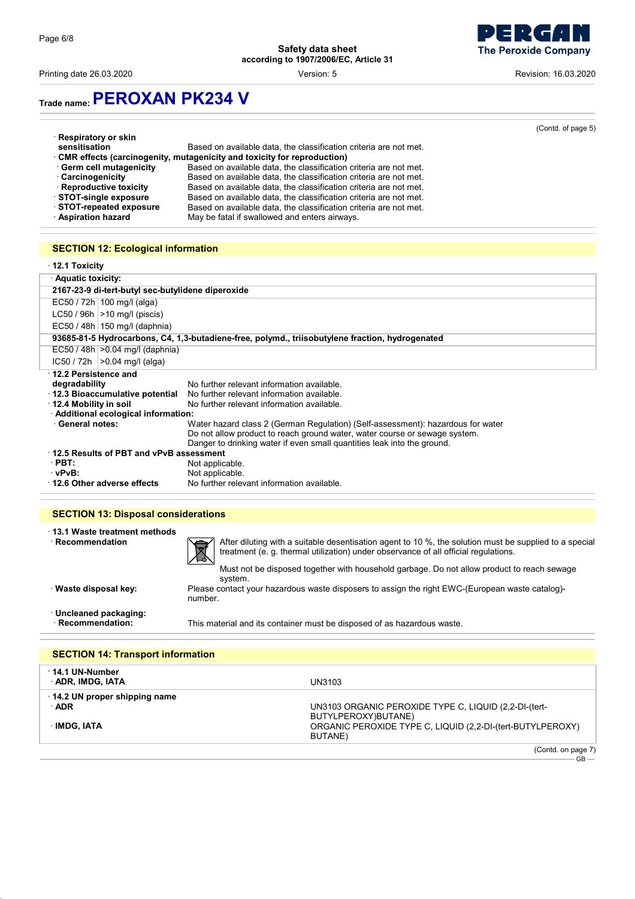

Printing date 26.03.2020 **Printing date 26.03.2020 Revision: 16.03.2020 Version: 5 Revision: 16.03.2020** 

of page 5)

# **Trade name:PEROXAN PK234 V**

| (Contd |
|--------|
|        |
|        |
|        |
|        |
|        |
|        |
|        |
|        |
|        |
|        |

## **SECTION 12: Ecological information**

| $\cdot$ 12.1 Toxicity                                                      |                                                                                                 |  |
|----------------------------------------------------------------------------|-------------------------------------------------------------------------------------------------|--|
| Aquatic toxicity:                                                          |                                                                                                 |  |
| 2167-23-9 di-tert-butyl sec-butylidene diperoxide                          |                                                                                                 |  |
| EC50 / 72h   100 mg/l (alga)                                               |                                                                                                 |  |
| $LC50 / 96h$ $>10$ mg/l (piscis)                                           |                                                                                                 |  |
| EC50 / 48h   150 mg/l (daphnia)                                            |                                                                                                 |  |
|                                                                            | 93685-81-5 Hydrocarbons, C4, 1,3-butadiene-free, polymd., triisobutylene fraction, hydrogenated |  |
| $EC50 / 48h$ $>0.04$ mg/l (daphnia)                                        |                                                                                                 |  |
| $IC50 / 72h$ $>0.04$ mg/l (alga)                                           |                                                                                                 |  |
| · 12.2 Persistence and                                                     |                                                                                                 |  |
| degradability                                                              | No further relevant information available.                                                      |  |
| 12.3 Bioaccumulative potential                                             | No further relevant information available.                                                      |  |
| 12.4 Mobility in soil                                                      | No further relevant information available.                                                      |  |
| · Additional ecological information:                                       |                                                                                                 |  |
| · General notes:                                                           | Water hazard class 2 (German Regulation) (Self-assessment): hazardous for water                 |  |
| Do not allow product to reach ground water, water course or sewage system. |                                                                                                 |  |
|                                                                            | Danger to drinking water if even small quantities leak into the ground.                         |  |
| 12.5 Results of PBT and vPvB assessment                                    |                                                                                                 |  |
| $\cdot$ PBT:                                                               | Not applicable.                                                                                 |  |
| vPvB:                                                                      | Not applicable.                                                                                 |  |
| 12.6 Other adverse effects                                                 | No further relevant information available.                                                      |  |

### **SECTION 13: Disposal considerations**

| ⋅13.1 Waste treatment methods |   |
|-------------------------------|---|
| $\cdot$ Recommendation        | 区 |

After diluting with a suitable desentisation agent to 10 %, the solution must be supplied to a special treatment (e. g. thermal utilization) under observance of all official regulations.

Must not be disposed together with household garbage. Do not allow product to reach sewage

system. · **Waste disposal key:** Please contact your hazardous waste disposers to assign the right EWC-(European waste catalog) number.

· **Uncleaned packaging:**

This material and its container must be disposed of as hazardous waste.

| <b>SECTION 14: Transport information</b> |                                                                              |
|------------------------------------------|------------------------------------------------------------------------------|
| · 14.1 UN-Number<br>· ADR, IMDG, IATA    | UN3103                                                                       |
| 14.2 UN proper shipping name<br>∴ADR     | UN3103 ORGANIC PEROXIDE TYPE C, LIQUID (2,2-DI-(tert-<br>BUTYLPEROXY)BUTANE) |
| ∴IMDG. IATA                              | ORGANIC PEROXIDE TYPE C, LIQUID (2,2-DI-(tert-BUTYLPEROXY)<br>BUTANE)        |
|                                          | (Contd. on page 7)<br>$GB -$                                                 |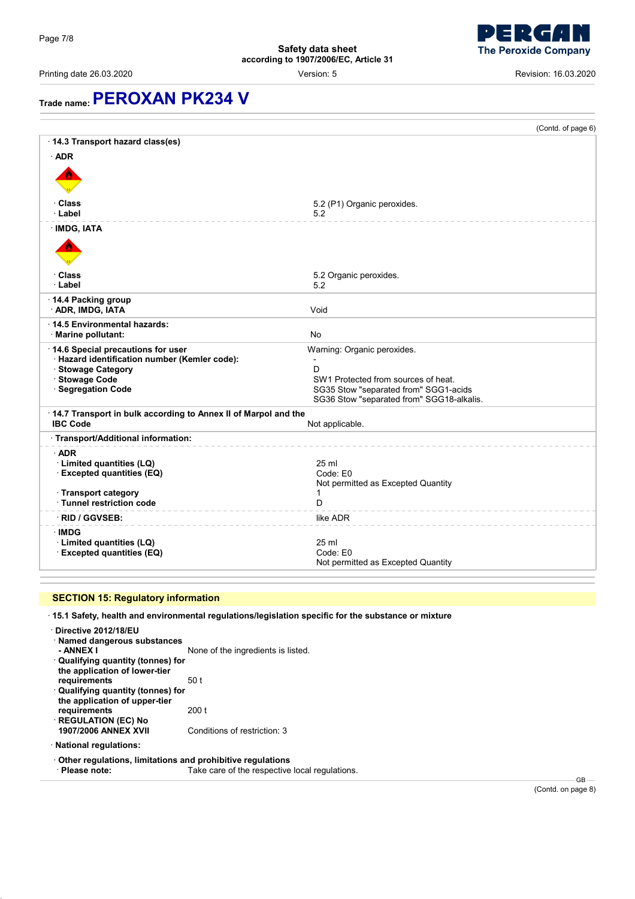

Printing date 26.03.2020 Version: 5 Revision: 16.03.2020

# **Trade name:PEROXAN PK234 V**

|                                                                                     | (Contd. of page 6)                        |
|-------------------------------------------------------------------------------------|-------------------------------------------|
| 14.3 Transport hazard class(es)                                                     |                                           |
| $·$ ADR                                                                             |                                           |
|                                                                                     |                                           |
|                                                                                     |                                           |
| ∙ Class                                                                             | 5.2 (P1) Organic peroxides.               |
| · Label                                                                             | 5.2                                       |
| · IMDG, IATA                                                                        |                                           |
|                                                                                     |                                           |
|                                                                                     |                                           |
|                                                                                     |                                           |
| ∙ Class<br>· Label                                                                  | 5.2 Organic peroxides.<br>5.2             |
| 14.4 Packing group                                                                  |                                           |
| <b>ADR, IMDG, IATA</b>                                                              | Void                                      |
| 14.5 Environmental hazards:                                                         |                                           |
| · Marine pollutant:                                                                 | No                                        |
| 14.6 Special precautions for user                                                   | Warning: Organic peroxides.               |
| · Hazard identification number (Kemler code):<br>· Stowage Category                 | D                                         |
| · Stowage Code                                                                      | SW1 Protected from sources of heat.       |
| · Segregation Code                                                                  | SG35 Stow "separated from" SGG1-acids     |
|                                                                                     | SG36 Stow "separated from" SGG18-alkalis. |
| · 14.7 Transport in bulk according to Annex II of Marpol and the<br><b>IBC Code</b> | Not applicable.                           |
| · Transport/Additional information:                                                 |                                           |
| $\cdot$ ADR                                                                         |                                           |
| · Limited quantities (LQ)                                                           | $25$ ml                                   |
| <b>Excepted quantities (EQ)</b>                                                     | Code: E0                                  |
| · Transport category                                                                | Not permitted as Excepted Quantity<br>1   |
| · Tunnel restriction code                                                           | D                                         |
| · RID / GGVSEB:                                                                     | like ADR                                  |
| <b>IMDG</b>                                                                         |                                           |
| · Limited quantities (LQ)                                                           | 25 ml                                     |
| <b>Excepted quantities (EQ)</b>                                                     | Code: E0                                  |
|                                                                                     | Not permitted as Excepted Quantity        |

## **SECTION 15: Regulatory information**

· **15.1 Safety, health and environmental regulations/legislation specific for the substance or mixture**

| Directive 2012/18/EU<br>· Named dangerous substances<br>- ANNEX I<br>· Qualifying quantity (tonnes) for<br>the application of lower-tier | None of the ingredients is listed. |
|------------------------------------------------------------------------------------------------------------------------------------------|------------------------------------|
| requirements                                                                                                                             | 50 t                               |
| · Qualifying quantity (tonnes) for<br>the application of upper-tier                                                                      |                                    |
| requirements                                                                                                                             | 200 t                              |
| <b>REGULATION (EC) No</b>                                                                                                                |                                    |
| <b>1907/2006 ANNEX XVII</b>                                                                                                              | Conditions of restriction: 3       |
| · National regulations:                                                                                                                  |                                    |

· **Other regulations, limitations and prohibitive regulations**

Take care of the respective local regulations.

 $-$  GB  $-$